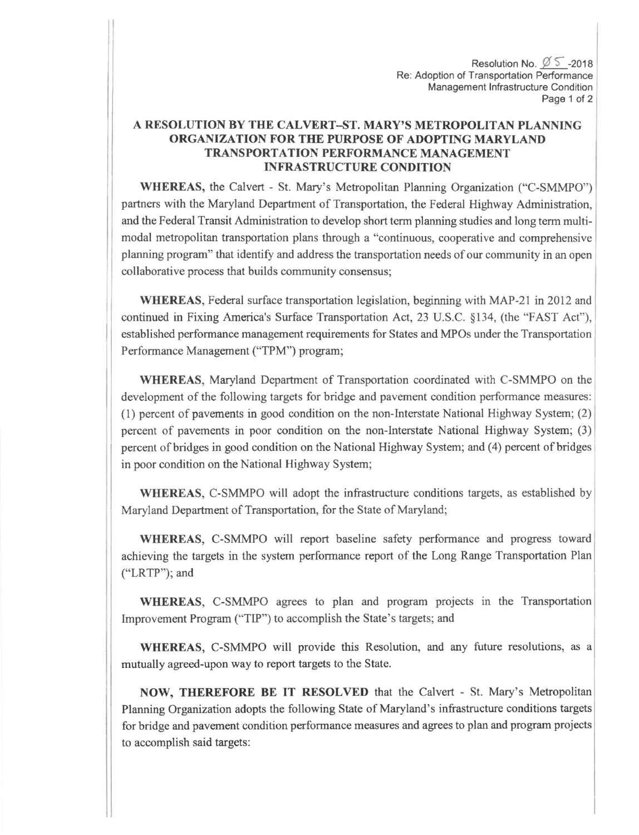Resolution No.  $\varnothing$  5 -2018 Re: Adoption of Transportation Performance Management Infrastructure Condition Page 1 of 2

## A RESOLUTION BY THE CALVERT-ST. MARY'S METROPOLITAN PLANNING ORGANIZATION FOR TIIE PURPOSE OF ADOPTING MARYLAND TRANSPORTATION PERFORMANCE MANAGEMENT **INFRASTRUCTURE CONDITION**

WHEREAS, the Calvert - St. Mary's Metropolitan Planning Organization ("C-SMMPO") partners with the Maryland Department of Transportation, the Federal Highway Administration, and the Federal Transit Administration to develop short term planning studies and long term multimodal metropolitan transpofiation plans through a "continuous, cooperative and comprehensive planning program" that identify and address the transportation needs of our community in an open collaborative process that builds community consensus;

WHEREAS, Federal surface transportation legislation, beginning with MAP-21 in 2012 and continued in Fixing America's Surface Transportation Act, 23 U.S.C. \$134, (the "FAST Act"), established performance management requirements for States and MPOs under the Transportation Performance Management ("TPM") program;

WHEREAS, Maryland Department of Transportation coordinated with C-SMMPO on the developmart of the following targets for bridge and pavernent condition performance measures: (1) percent of pavernents in good condition on the non-Interstate National Highway Systan; (2) percent of pavements in poor condition on the non-Interstate National Highway System; (3) percent of bridges in good condition on the National Highway System; and (4) percent of bridges in poor condition on the National Highway System;

WHEREAS, C-SMMPO will adopt the infrastructure conditions targets, as established by Maryland Department of Transportation, for the State of Maryland;

WHEREAS, C-SMMPO will report baseline safety performance and progress toward achieving the targets in the system performance report of the Long Range Transportation Plan ("LRTP"); and

WHEREAS, C-SMMPO agrees to plan and program projects in the Transportation lmprovernent Program ("TIP") to accomplish the State's targets; and

WHEREAS, C-SMMPO will provide this Resolution, and any future resolutions, as <sup>a</sup> mutually agreed-upon way to report targets to the State.

NOW, THEREFORE BE IT RESOLVED that the Calvert - St. Mary's Metropolitan Planning Organization adopts the following State of Maryland's infrastructure conditions targets for bridge and pavernent condition performance measures and agrees to plan and program projects to accomplish said targets: